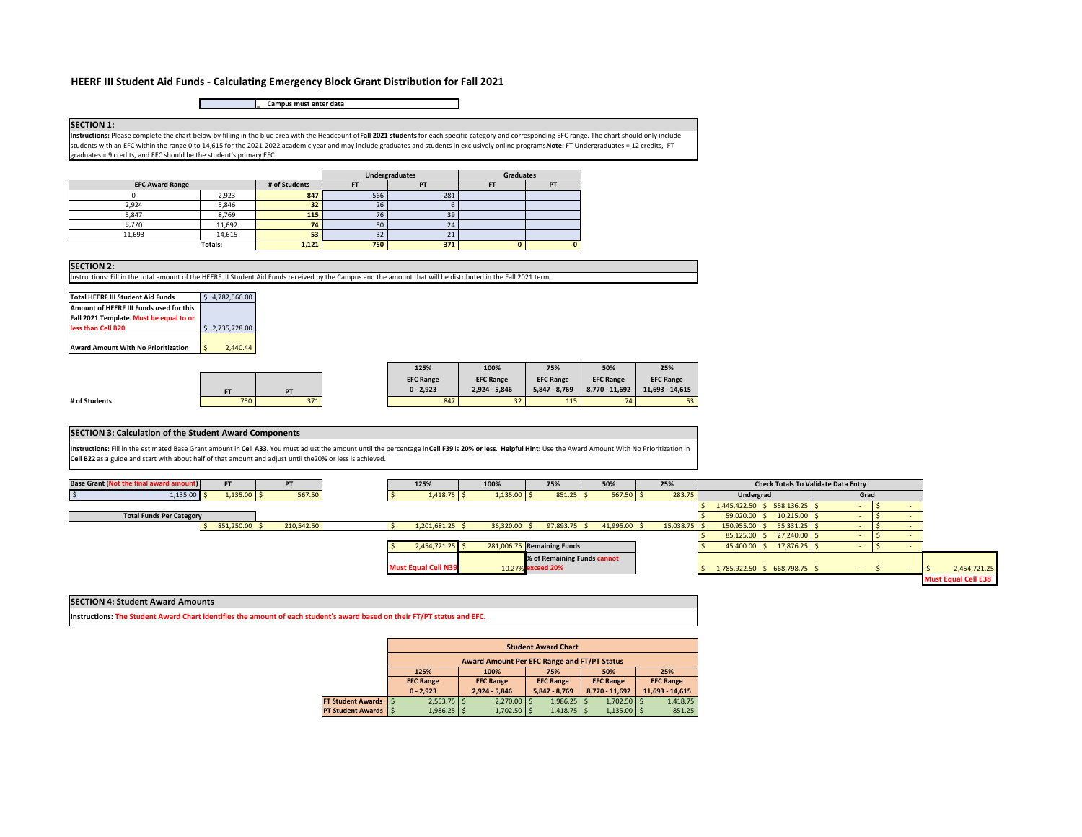### **HEERF III Student Aid Funds ‐ Calculating Emergency Block Grant Distribution for Fall 2021**

**= Campus must enter data**

**SECTION 1: Instructions:** Please complete the chart below by filling in the blue area with the Headcount of **Fall 2021 students** for each specific category and corresponding EFC range. The chart should only include students with an EFC within the range 0 to 14,615 for the 2021‐2022 academic year and may include graduates and students in exclusively online programs. **Note:** FT Undergraduates = 12 credits, FT graduates = 9 credits, and EFC should be the student's primary EFC.

|                        |         |               | Undergraduates<br><b>Graduates</b> |                |    |    |  |  |
|------------------------|---------|---------------|------------------------------------|----------------|----|----|--|--|
| <b>EFC Award Range</b> |         | # of Students |                                    | P <sub>1</sub> | F1 | PT |  |  |
|                        | 2,923   | 847           | 566                                | 281            |    |    |  |  |
| 2.924                  | 5,846   | 32            | 26                                 |                |    |    |  |  |
| 5.847                  | 8,769   | 115           | ٠.<br>7t                           | 39             |    |    |  |  |
| 8.770                  | 11,692  | 74            | 50                                 | 24             |    |    |  |  |
| 11,693                 | 14,615  | 53            | 32                                 | <b>44</b>      |    |    |  |  |
|                        | Totals: | 1,121         | 750                                | 371            |    |    |  |  |

|  | <b>SECTION 2:</b> |  |  |
|--|-------------------|--|--|
|  |                   |  |  |

**# of Studer** 

Instructions: Fill in the total amount of the HEERF III Student Aid Funds received by the Campus and the amount that will be distributed in the Fall 2021 term.

| Total HEERF III Student Aid Funds                                                  | 4.782.566.00        |
|------------------------------------------------------------------------------------|---------------------|
| Amount of HEERF III Funds used for this<br>Fall 2021 Template. Must be equal to or |                     |
| less than Cell B20                                                                 | \$2,735,728.00      |
| Award Amount With No Prioritization                                                | $\zeta$<br>2.440.44 |

|    |     |     | 125%             | 100%             | 75%              | 50%              | 25%              |
|----|-----|-----|------------------|------------------|------------------|------------------|------------------|
|    |     |     | <b>EFC Range</b> | <b>EFC Range</b> | <b>EFC Range</b> | <b>EFC Range</b> | <b>EFC Range</b> |
|    | FT  | PT  | $0 - 2.923$      | 2,924 - 5,846    | $5.847 - 8.769$  | 8.770 - 11.692   | 11.693 - 14.615  |
| ts | 750 | 371 | 847              | 32               | 115              | 74               | 53               |

#### **SECTION 3: Calculation of the Student Award Components**

Instructions: Fill in the estimated Base Grant amount in Cell A33. You must adjust the amount until the percentage in Cell F39 is 20% or less. Helpful Hint: Use the Award Amount With No Prioritization in **Cell B22** as a guide and start with about half of that amount and adjust until the 20**%** or less is achieved.



#### **SECTION 4: Student Award Amounts**

**Instructions: The Student Award Chart identifies the amount of each student's award based on their FT/PT status and EFC.** 

|                       |                                             | <b>Student Award Chart</b> |                 |                  |          |                  |                |                  |                 |  |  |
|-----------------------|---------------------------------------------|----------------------------|-----------------|------------------|----------|------------------|----------------|------------------|-----------------|--|--|
|                       | Award Amount Per EFC Range and FT/PT Status |                            |                 |                  |          |                  |                |                  |                 |  |  |
|                       | 125%                                        |                            | 100%            | 75%              |          | 50%              |                | 25%              |                 |  |  |
|                       | <b>EFC Range</b>                            | <b>EFC Range</b>           |                 | <b>EFC Range</b> |          | <b>EFC Range</b> |                | <b>EFC Range</b> |                 |  |  |
|                       | $0 - 2.923$                                 |                            | $2.924 - 5.846$ | 5,847 - 8,769    |          |                  | 8,770 - 11,692 |                  | 11,693 - 14,615 |  |  |
| FT Student Awards   S | $2,553.75$ \$                               |                            | $2,270.00$ \$   |                  | 1,986.25 |                  | $1,702.50$ \$  |                  | 1,418.75        |  |  |
| PT Student Awards   S | $1,986.25$ \$                               |                            | 1,702.50        |                  | 1,418.75 |                  | 1,135.00       |                  | 851.25          |  |  |